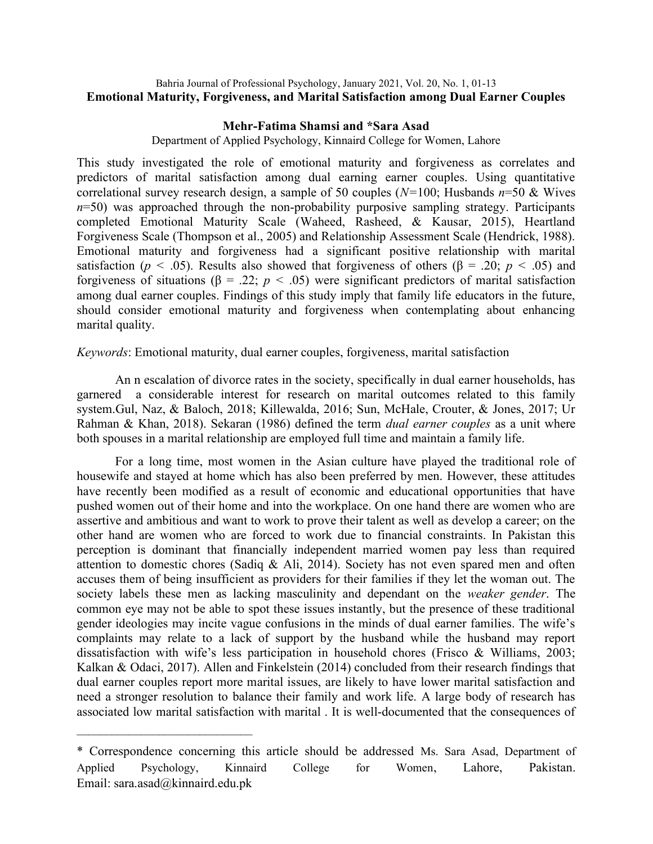# Bahria Journal of Professional Psychology, January 2021, Vol. 20, No. 1, 01-13 Emotional Maturity, Forgiveness, and Marital Satisfaction among Dual Earner Couples

# Mehr-Fatima Shamsi and \*Sara Asad

Department of Applied Psychology, Kinnaird College for Women, Lahore

This study investigated the role of emotional maturity and forgiveness as correlates and predictors of marital satisfaction among dual earning earner couples. Using quantitative correlational survey research design, a sample of 50 couples ( $N=100$ ; Husbands  $n=50$  & Wives  $n=50$ ) was approached through the non-probability purposive sampling strategy. Participants completed Emotional Maturity Scale (Waheed, Rasheed, & Kausar, 2015), Heartland Forgiveness Scale (Thompson et al., 2005) and Relationship Assessment Scale (Hendrick, 1988). Emotional maturity and forgiveness had a significant positive relationship with marital satisfaction ( $p < .05$ ). Results also showed that forgiveness of others ( $\beta = .20$ ;  $p < .05$ ) and forgiveness of situations ( $\beta$  = .22;  $p < .05$ ) were significant predictors of marital satisfaction among dual earner couples. Findings of this study imply that family life educators in the future, should consider emotional maturity and forgiveness when contemplating about enhancing marital quality.

Keywords: Emotional maturity, dual earner couples, forgiveness, marital satisfaction

An n escalation of divorce rates in the society, specifically in dual earner households, has garnered a considerable interest for research on marital outcomes related to this family system.Gul, Naz, & Baloch, 2018; Killewalda, 2016; Sun, McHale, Crouter, & Jones, 2017; Ur Rahman & Khan, 2018). Sekaran (1986) defined the term *dual earner couples* as a unit where both spouses in a marital relationship are employed full time and maintain a family life.

For a long time, most women in the Asian culture have played the traditional role of housewife and stayed at home which has also been preferred by men. However, these attitudes have recently been modified as a result of economic and educational opportunities that have pushed women out of their home and into the workplace. On one hand there are women who are assertive and ambitious and want to work to prove their talent as well as develop a career; on the other hand are women who are forced to work due to financial constraints. In Pakistan this perception is dominant that financially independent married women pay less than required attention to domestic chores (Sadiq & Ali, 2014). Society has not even spared men and often accuses them of being insufficient as providers for their families if they let the woman out. The society labels these men as lacking masculinity and dependant on the weaker gender. The common eye may not be able to spot these issues instantly, but the presence of these traditional gender ideologies may incite vague confusions in the minds of dual earner families. The wife's complaints may relate to a lack of support by the husband while the husband may report dissatisfaction with wife's less participation in household chores (Frisco & Williams, 2003; Kalkan & Odaci, 2017). Allen and Finkelstein (2014) concluded from their research findings that dual earner couples report more marital issues, are likely to have lower marital satisfaction and need a stronger resolution to balance their family and work life. A large body of research has associated low marital satisfaction with marital . It is well-documented that the consequences of

 $\mathcal{L}_\text{max}$ 

<sup>\*</sup> Correspondence concerning this article should be addressed Ms. Sara Asad, Department of Applied Psychology, Kinnaird College for Women, Lahore, Pakistan. Email: sara.asad@kinnaird.edu.pk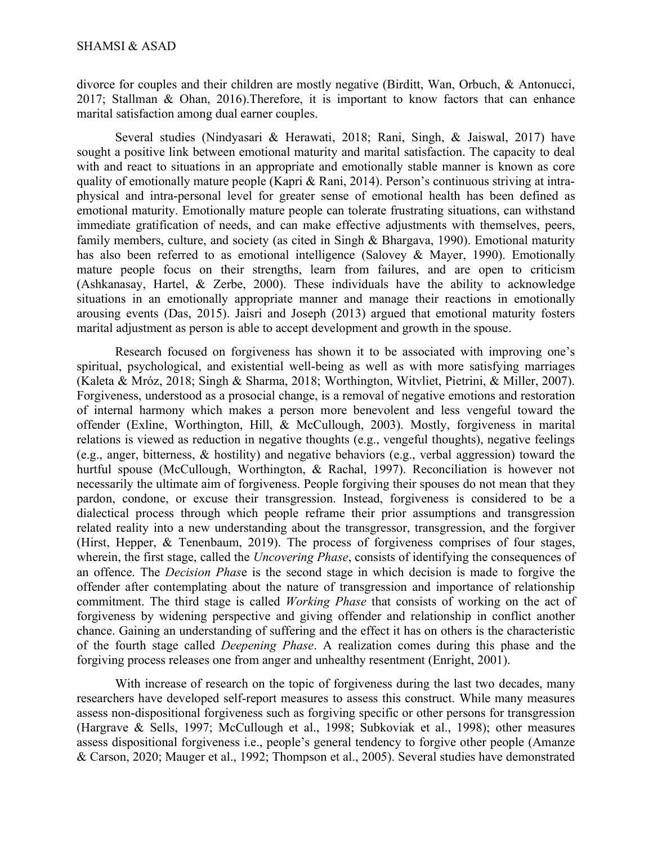divorce for couples and their children are mostly negative (Birditt, Wan, Orbuch, & Antonucci, 2017; Stallman & Ohan, 2016).Therefore, it is important to know factors that can enhance marital satisfaction among dual earner couples.

Several studies (Nindyasari & Herawati, 2018; Rani, Singh, & Jaiswal, 2017) have sought a positive link between emotional maturity and marital satisfaction. The capacity to deal with and react to situations in an appropriate and emotionally stable manner is known as core quality of emotionally mature people (Kapri & Rani, 2014). Person's continuous striving at intraphysical and intra-personal level for greater sense of emotional health has been defined as emotional maturity. Emotionally mature people can tolerate frustrating situations, can withstand immediate gratification of needs, and can make effective adjustments with themselves, peers, family members, culture, and society (as cited in Singh & Bhargava, 1990). Emotional maturity has also been referred to as emotional intelligence (Salovey & Mayer, 1990). Emotionally mature people focus on their strengths, learn from failures, and are open to criticism (Ashkanasay, Hartel, & Zerbe, 2000). These individuals have the ability to acknowledge situations in an emotionally appropriate manner and manage their reactions in emotionally arousing events (Das, 2015). Jaisri and Joseph (2013) argued that emotional maturity fosters marital adjustment as person is able to accept development and growth in the spouse.

Research focused on forgiveness has shown it to be associated with improving one's spiritual, psychological, and existential well-being as well as with more satisfying marriages (Kaleta & Mróz, 2018; Singh & Sharma, 2018; Worthington, Witvliet, Pietrini, & Miller, 2007). Forgiveness, understood as a prosocial change, is a removal of negative emotions and restoration of internal harmony which makes a person more benevolent and less vengeful toward the offender (Exline, Worthington, Hill, & McCullough, 2003). Mostly, forgiveness in marital relations is viewed as reduction in negative thoughts (e.g., vengeful thoughts), negative feelings (e.g., anger, bitterness, & hostility) and negative behaviors (e.g., verbal aggression) toward the hurtful spouse (McCullough, Worthington, & Rachal, 1997). Reconciliation is however not necessarily the ultimate aim of forgiveness. People forgiving their spouses do not mean that they pardon, condone, or excuse their transgression. Instead, forgiveness is considered to be a dialectical process through which people reframe their prior assumptions and transgression related reality into a new understanding about the transgressor, transgression, and the forgiver (Hirst, Hepper, & Tenenbaum, 2019). The process of forgiveness comprises of four stages, wherein, the first stage, called the *Uncovering Phase*, consists of identifying the consequences of an offence. The Decision Phase is the second stage in which decision is made to forgive the offender after contemplating about the nature of transgression and importance of relationship commitment. The third stage is called Working Phase that consists of working on the act of forgiveness by widening perspective and giving offender and relationship in conflict another chance. Gaining an understanding of suffering and the effect it has on others is the characteristic of the fourth stage called Deepening Phase. A realization comes during this phase and the forgiving process releases one from anger and unhealthy resentment (Enright, 2001).

With increase of research on the topic of forgiveness during the last two decades, many researchers have developed self-report measures to assess this construct. While many measures assess non-dispositional forgiveness such as forgiving specific or other persons for transgression (Hargrave & Sells, 1997; McCullough et al., 1998; Subkoviak et al., 1998); other measures assess dispositional forgiveness i.e., people's general tendency to forgive other people (Amanze & Carson, 2020; Mauger et al., 1992; Thompson et al., 2005). Several studies have demonstrated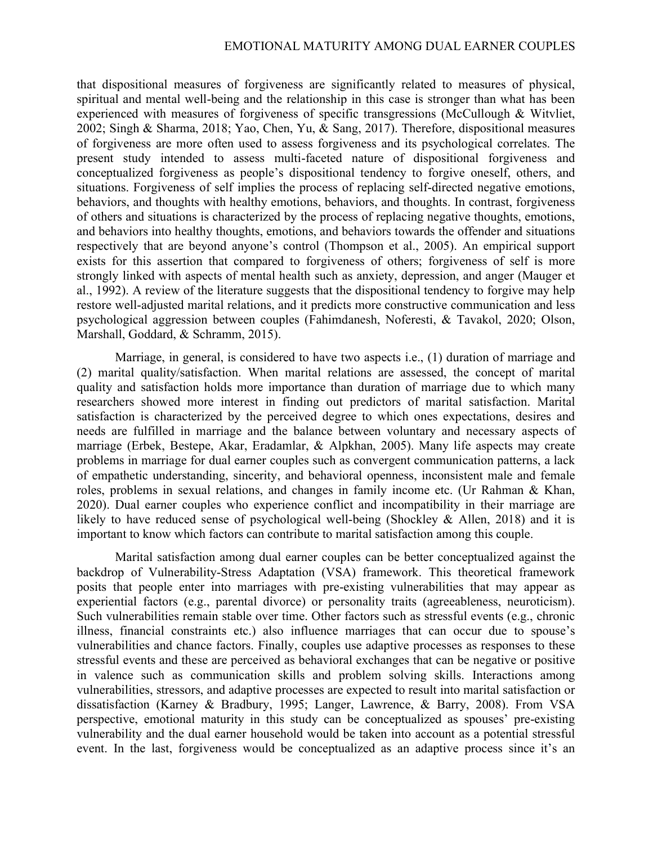that dispositional measures of forgiveness are significantly related to measures of physical, spiritual and mental well-being and the relationship in this case is stronger than what has been experienced with measures of forgiveness of specific transgressions (McCullough & Witvliet, 2002; Singh & Sharma, 2018; Yao, Chen, Yu, & Sang, 2017). Therefore, dispositional measures of forgiveness are more often used to assess forgiveness and its psychological correlates. The present study intended to assess multi-faceted nature of dispositional forgiveness and conceptualized forgiveness as people's dispositional tendency to forgive oneself, others, and situations. Forgiveness of self implies the process of replacing self-directed negative emotions, behaviors, and thoughts with healthy emotions, behaviors, and thoughts. In contrast, forgiveness of others and situations is characterized by the process of replacing negative thoughts, emotions, and behaviors into healthy thoughts, emotions, and behaviors towards the offender and situations respectively that are beyond anyone's control (Thompson et al., 2005). An empirical support exists for this assertion that compared to forgiveness of others; forgiveness of self is more strongly linked with aspects of mental health such as anxiety, depression, and anger (Mauger et al., 1992). A review of the literature suggests that the dispositional tendency to forgive may help restore well-adjusted marital relations, and it predicts more constructive communication and less psychological aggression between couples (Fahimdanesh, Noferesti, & Tavakol, 2020; Olson, Marshall, Goddard, & Schramm, 2015).

Marriage, in general, is considered to have two aspects i.e., (1) duration of marriage and (2) marital quality/satisfaction. When marital relations are assessed, the concept of marital quality and satisfaction holds more importance than duration of marriage due to which many researchers showed more interest in finding out predictors of marital satisfaction. Marital satisfaction is characterized by the perceived degree to which ones expectations, desires and needs are fulfilled in marriage and the balance between voluntary and necessary aspects of marriage (Erbek, Bestepe, Akar, Eradamlar, & Alpkhan, 2005). Many life aspects may create problems in marriage for dual earner couples such as convergent communication patterns, a lack of empathetic understanding, sincerity, and behavioral openness, inconsistent male and female roles, problems in sexual relations, and changes in family income etc. (Ur Rahman & Khan, 2020). Dual earner couples who experience conflict and incompatibility in their marriage are likely to have reduced sense of psychological well-being (Shockley & Allen, 2018) and it is important to know which factors can contribute to marital satisfaction among this couple.

Marital satisfaction among dual earner couples can be better conceptualized against the backdrop of Vulnerability-Stress Adaptation (VSA) framework. This theoretical framework posits that people enter into marriages with pre-existing vulnerabilities that may appear as experiential factors (e.g., parental divorce) or personality traits (agreeableness, neuroticism). Such vulnerabilities remain stable over time. Other factors such as stressful events (e.g., chronic illness, financial constraints etc.) also influence marriages that can occur due to spouse's vulnerabilities and chance factors. Finally, couples use adaptive processes as responses to these stressful events and these are perceived as behavioral exchanges that can be negative or positive in valence such as communication skills and problem solving skills. Interactions among vulnerabilities, stressors, and adaptive processes are expected to result into marital satisfaction or dissatisfaction (Karney & Bradbury, 1995; Langer, Lawrence, & Barry, 2008). From VSA perspective, emotional maturity in this study can be conceptualized as spouses' pre-existing vulnerability and the dual earner household would be taken into account as a potential stressful event. In the last, forgiveness would be conceptualized as an adaptive process since it's an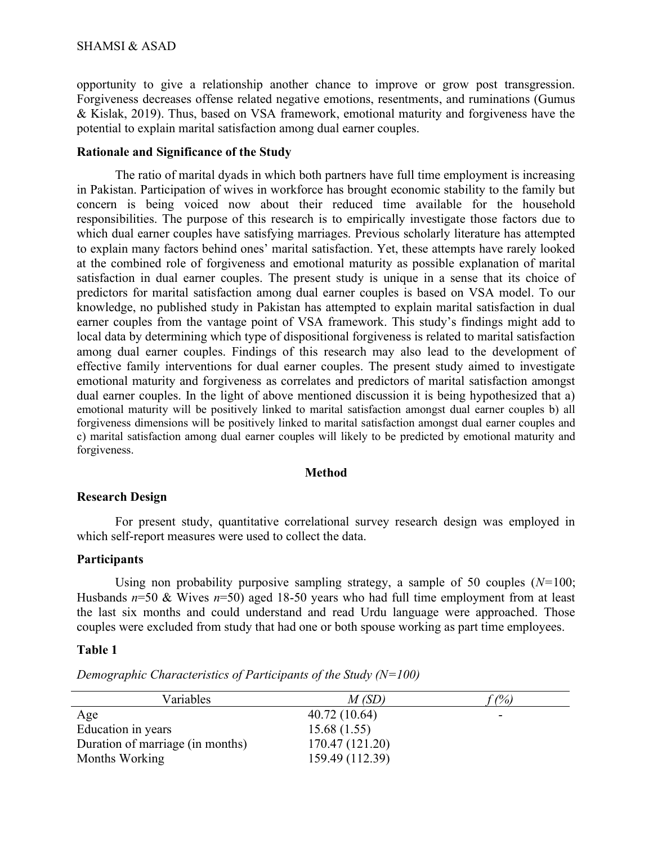opportunity to give a relationship another chance to improve or grow post transgression. Forgiveness decreases offense related negative emotions, resentments, and ruminations (Gumus & Kislak, 2019). Thus, based on VSA framework, emotional maturity and forgiveness have the potential to explain marital satisfaction among dual earner couples.

## Rationale and Significance of the Study

The ratio of marital dyads in which both partners have full time employment is increasing in Pakistan. Participation of wives in workforce has brought economic stability to the family but concern is being voiced now about their reduced time available for the household responsibilities. The purpose of this research is to empirically investigate those factors due to which dual earner couples have satisfying marriages. Previous scholarly literature has attempted to explain many factors behind ones' marital satisfaction. Yet, these attempts have rarely looked at the combined role of forgiveness and emotional maturity as possible explanation of marital satisfaction in dual earner couples. The present study is unique in a sense that its choice of predictors for marital satisfaction among dual earner couples is based on VSA model. To our knowledge, no published study in Pakistan has attempted to explain marital satisfaction in dual earner couples from the vantage point of VSA framework. This study's findings might add to local data by determining which type of dispositional forgiveness is related to marital satisfaction among dual earner couples. Findings of this research may also lead to the development of effective family interventions for dual earner couples. The present study aimed to investigate emotional maturity and forgiveness as correlates and predictors of marital satisfaction amongst dual earner couples. In the light of above mentioned discussion it is being hypothesized that a) emotional maturity will be positively linked to marital satisfaction amongst dual earner couples b) all forgiveness dimensions will be positively linked to marital satisfaction amongst dual earner couples and c) marital satisfaction among dual earner couples will likely to be predicted by emotional maturity and forgiveness.

#### Method

#### Research Design

For present study, quantitative correlational survey research design was employed in which self-report measures were used to collect the data.

#### **Participants**

Using non probability purposive sampling strategy, a sample of 50 couples  $(N=100;$ Husbands  $n=50$  & Wives  $n=50$ ) aged 18-50 years who had full time employment from at least the last six months and could understand and read Urdu language were approached. Those couples were excluded from study that had one or both spouse working as part time employees.

### Table 1

| Variables                        | M(SD)           | $\hat{p}$ (%) |
|----------------------------------|-----------------|---------------|
| Age                              | 40.72 (10.64)   |               |
| Education in years               | 15.68(1.55)     |               |
| Duration of marriage (in months) | 170.47 (121.20) |               |
| Months Working                   | 159.49 (112.39) |               |

Demographic Characteristics of Participants of the Study  $(N=100)$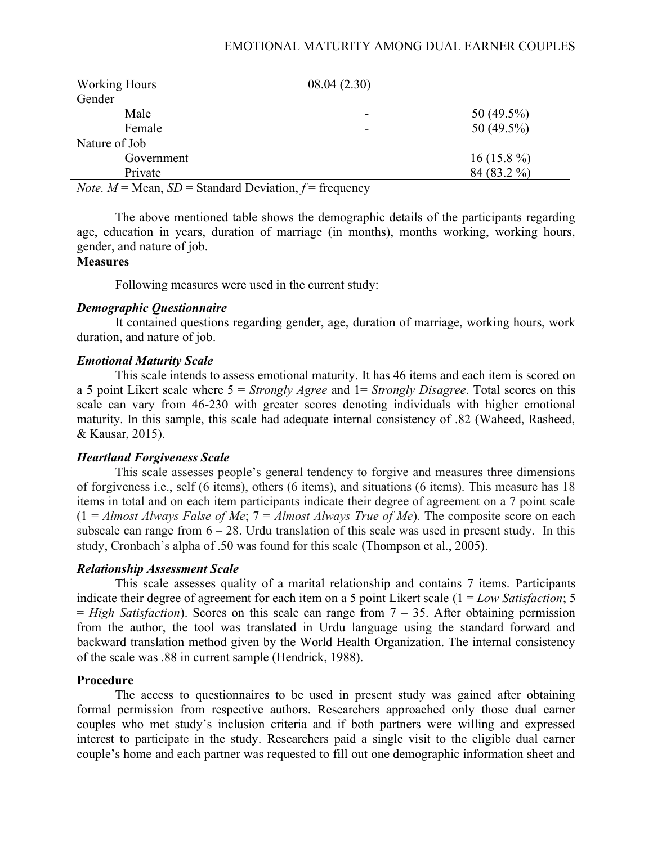# EMOTIONAL MATURITY AMONG DUAL EARNER COUPLES

| <b>Working Hours</b>                     | 08.04(2.30) |                |
|------------------------------------------|-------------|----------------|
| Gender                                   |             |                |
| Male                                     | -           | 50 (49.5%)     |
| Female                                   | -           | 50 (49.5%)     |
| Nature of Job                            |             |                |
| Government                               |             | 16 (15.8 $%$ ) |
| Private                                  |             | 84 (83.2 %)    |
| $\sim$ $\sim$<br>$ -$<br>-- - - -<br>___ | .           |                |

*Note.*  $M = \text{Mean}$ ,  $SD = \text{Standard Deviation}$ ,  $f = \text{frequency}$ 

 The above mentioned table shows the demographic details of the participants regarding age, education in years, duration of marriage (in months), months working, working hours, gender, and nature of job.

# **Measures**

Following measures were used in the current study:

# Demographic Questionnaire

It contained questions regarding gender, age, duration of marriage, working hours, work duration, and nature of job.

# Emotional Maturity Scale

This scale intends to assess emotional maturity. It has 46 items and each item is scored on a 5 point Likert scale where  $5 =$  Strongly Agree and  $1 =$  Strongly Disagree. Total scores on this scale can vary from 46-230 with greater scores denoting individuals with higher emotional maturity. In this sample, this scale had adequate internal consistency of .82 (Waheed, Rasheed, & Kausar, 2015).

# Heartland Forgiveness Scale

This scale assesses people's general tendency to forgive and measures three dimensions of forgiveness i.e., self (6 items), others (6 items), and situations (6 items). This measure has 18 items in total and on each item participants indicate their degree of agreement on a 7 point scale  $(1 = \text{Almost Always False of Me}; 7 = \text{Almost Always True of Me}).$  The composite score on each subscale can range from  $6 - 28$ . Urdu translation of this scale was used in present study. In this study, Cronbach's alpha of .50 was found for this scale (Thompson et al., 2005).

### Relationship Assessment Scale

This scale assesses quality of a marital relationship and contains 7 items. Participants indicate their degree of agreement for each item on a 5 point Likert scale  $(1 = Low Sat is factorial)$ ; 5  $=$  High Satisfaction). Scores on this scale can range from  $7 - 35$ . After obtaining permission from the author, the tool was translated in Urdu language using the standard forward and backward translation method given by the World Health Organization. The internal consistency of the scale was .88 in current sample (Hendrick, 1988).

# Procedure

The access to questionnaires to be used in present study was gained after obtaining formal permission from respective authors. Researchers approached only those dual earner couples who met study's inclusion criteria and if both partners were willing and expressed interest to participate in the study. Researchers paid a single visit to the eligible dual earner couple's home and each partner was requested to fill out one demographic information sheet and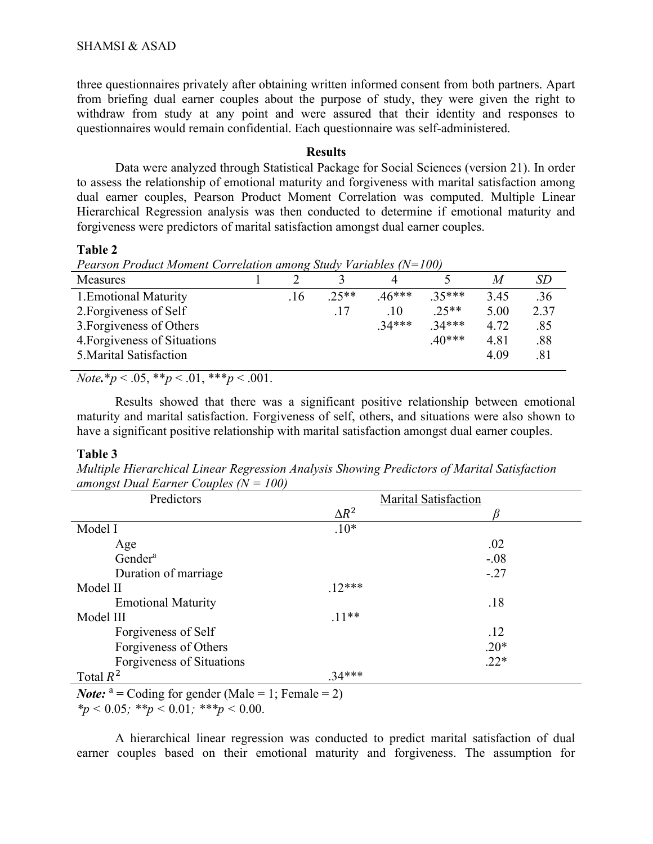three questionnaires privately after obtaining written informed consent from both partners. Apart from briefing dual earner couples about the purpose of study, they were given the right to withdraw from study at any point and were assured that their identity and responses to questionnaires would remain confidential. Each questionnaire was self-administered.

### **Results**

 Data were analyzed through Statistical Package for Social Sciences (version 21). In order to assess the relationship of emotional maturity and forgiveness with marital satisfaction among dual earner couples, Pearson Product Moment Correlation was computed. Multiple Linear Hierarchical Regression analysis was then conducted to determine if emotional maturity and forgiveness were predictors of marital satisfaction amongst dual earner couples.

## Table 2

Pearson Product Moment Correlation among Study Variables  $(N=100)$ 

| <b>Measures</b>              |     |         |          |          | M    | SD   |
|------------------------------|-----|---------|----------|----------|------|------|
| 1. Emotional Maturity        | .16 | $.25**$ | $.46***$ | $35***$  | 3.45 | .36  |
| 2. Forgiveness of Self       |     |         | .10      | $.25**$  | 5.00 | 2.37 |
| 3. Forgiveness of Others     |     |         | $.34***$ | $.34***$ | 4.72 | .85  |
| 4. Forgiveness of Situations |     |         |          | $.40***$ | 4.81 | .88  |
| 5. Marital Satisfaction      |     |         |          |          | 4.09 | .81  |
|                              |     |         |          |          |      |      |

Note.\*p < .05, \*\*p < .01, \*\*\*p < .001.

Results showed that there was a significant positive relationship between emotional maturity and marital satisfaction. Forgiveness of self, others, and situations were also shown to have a significant positive relationship with marital satisfaction amongst dual earner couples.

## Table 3

Multiple Hierarchical Linear Regression Analysis Showing Predictors of Marital Satisfaction amongst Dual Earner Couples  $(N = 100)$ 

| Predictors                |              | Marital Satisfaction |
|---------------------------|--------------|----------------------|
|                           | $\Delta R^2$ |                      |
| Model I                   | $.10*$       |                      |
| Age                       |              | .02                  |
| Gender <sup>a</sup>       |              | $-.08$               |
| Duration of marriage      |              | $-.27$               |
| Model II                  | $.12***$     |                      |
| <b>Emotional Maturity</b> |              | .18                  |
| Model III                 | $.11**$      |                      |
| Forgiveness of Self       |              | .12                  |
| Forgiveness of Others     |              | $.20*$               |
| Forgiveness of Situations |              | $.22*$               |
| Total $R^2$               | $.34***$     |                      |

*Note*:  $a = \text{Coding for gender (Male} = 1; \text{ Female} = 2)$ 

 $*_p$  < 0.05;  $*_p$  < 0.01;  $**_p$  < 0.00.

A hierarchical linear regression was conducted to predict marital satisfaction of dual earner couples based on their emotional maturity and forgiveness. The assumption for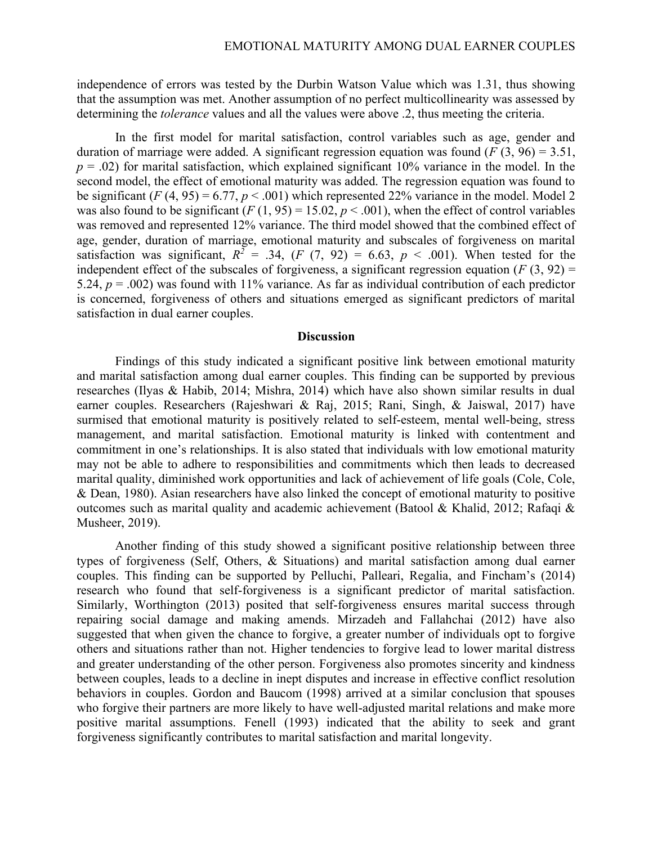independence of errors was tested by the Durbin Watson Value which was 1.31, thus showing that the assumption was met. Another assumption of no perfect multicollinearity was assessed by determining the *tolerance* values and all the values were above .2, thus meeting the criteria.

In the first model for marital satisfaction, control variables such as age, gender and duration of marriage were added. A significant regression equation was found ( $F(3, 96) = 3.51$ ,  $p = .02$ ) for marital satisfaction, which explained significant 10% variance in the model. In the second model, the effect of emotional maturity was added. The regression equation was found to be significant (F (4, 95) = 6.77,  $p < .001$ ) which represented 22% variance in the model. Model 2 was also found to be significant (F (1, 95) = 15.02,  $p < .001$ ), when the effect of control variables was removed and represented 12% variance. The third model showed that the combined effect of age, gender, duration of marriage, emotional maturity and subscales of forgiveness on marital satisfaction was significant,  $R^2 = .34$ ,  $(F (7, 92) = 6.63, p < .001)$ . When tested for the independent effect of the subscales of forgiveness, a significant regression equation ( $F(3, 92) =$ 5.24,  $p = .002$ ) was found with 11% variance. As far as individual contribution of each predictor is concerned, forgiveness of others and situations emerged as significant predictors of marital satisfaction in dual earner couples.

#### **Discussion**

Findings of this study indicated a significant positive link between emotional maturity and marital satisfaction among dual earner couples. This finding can be supported by previous researches (Ilyas & Habib, 2014; Mishra, 2014) which have also shown similar results in dual earner couples. Researchers (Rajeshwari & Raj, 2015; Rani, Singh, & Jaiswal, 2017) have surmised that emotional maturity is positively related to self-esteem, mental well-being, stress management, and marital satisfaction. Emotional maturity is linked with contentment and commitment in one's relationships. It is also stated that individuals with low emotional maturity may not be able to adhere to responsibilities and commitments which then leads to decreased marital quality, diminished work opportunities and lack of achievement of life goals (Cole, Cole, & Dean, 1980). Asian researchers have also linked the concept of emotional maturity to positive outcomes such as marital quality and academic achievement (Batool & Khalid, 2012; Rafaqi & Musheer, 2019).

Another finding of this study showed a significant positive relationship between three types of forgiveness (Self, Others, & Situations) and marital satisfaction among dual earner couples. This finding can be supported by Pelluchi, Palleari, Regalia, and Fincham's (2014) research who found that self-forgiveness is a significant predictor of marital satisfaction. Similarly, Worthington (2013) posited that self-forgiveness ensures marital success through repairing social damage and making amends. Mirzadeh and Fallahchai (2012) have also suggested that when given the chance to forgive, a greater number of individuals opt to forgive others and situations rather than not. Higher tendencies to forgive lead to lower marital distress and greater understanding of the other person. Forgiveness also promotes sincerity and kindness between couples, leads to a decline in inept disputes and increase in effective conflict resolution behaviors in couples. Gordon and Baucom (1998) arrived at a similar conclusion that spouses who forgive their partners are more likely to have well-adjusted marital relations and make more positive marital assumptions. Fenell (1993) indicated that the ability to seek and grant forgiveness significantly contributes to marital satisfaction and marital longevity.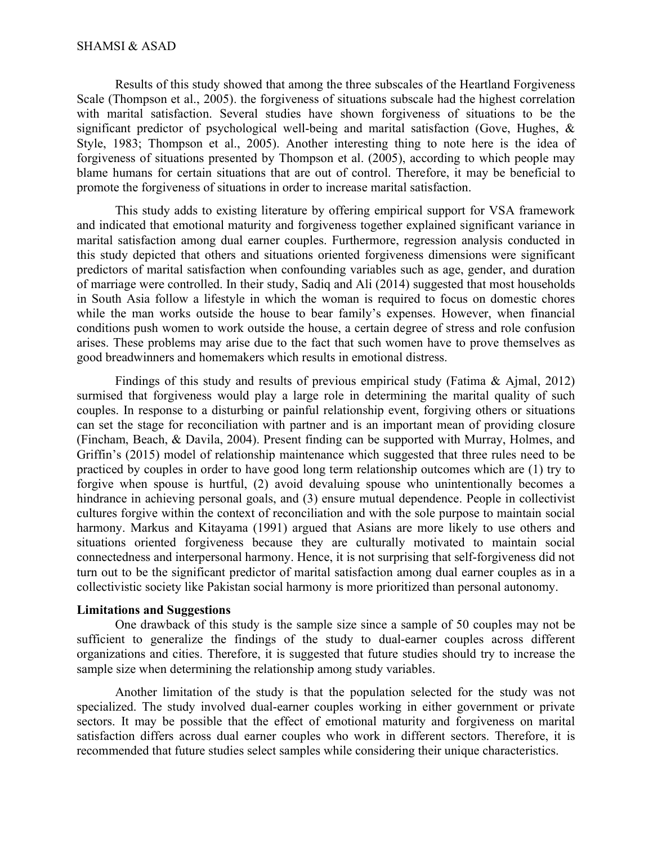Results of this study showed that among the three subscales of the Heartland Forgiveness Scale (Thompson et al., 2005). the forgiveness of situations subscale had the highest correlation with marital satisfaction. Several studies have shown forgiveness of situations to be the significant predictor of psychological well-being and marital satisfaction (Gove, Hughes, & Style, 1983; Thompson et al., 2005). Another interesting thing to note here is the idea of forgiveness of situations presented by Thompson et al. (2005), according to which people may blame humans for certain situations that are out of control. Therefore, it may be beneficial to promote the forgiveness of situations in order to increase marital satisfaction.

This study adds to existing literature by offering empirical support for VSA framework and indicated that emotional maturity and forgiveness together explained significant variance in marital satisfaction among dual earner couples. Furthermore, regression analysis conducted in this study depicted that others and situations oriented forgiveness dimensions were significant predictors of marital satisfaction when confounding variables such as age, gender, and duration of marriage were controlled. In their study, Sadiq and Ali (2014) suggested that most households in South Asia follow a lifestyle in which the woman is required to focus on domestic chores while the man works outside the house to bear family's expenses. However, when financial conditions push women to work outside the house, a certain degree of stress and role confusion arises. These problems may arise due to the fact that such women have to prove themselves as good breadwinners and homemakers which results in emotional distress.

Findings of this study and results of previous empirical study (Fatima & Ajmal, 2012) surmised that forgiveness would play a large role in determining the marital quality of such couples. In response to a disturbing or painful relationship event, forgiving others or situations can set the stage for reconciliation with partner and is an important mean of providing closure (Fincham, Beach, & Davila, 2004). Present finding can be supported with Murray, Holmes, and Griffin's (2015) model of relationship maintenance which suggested that three rules need to be practiced by couples in order to have good long term relationship outcomes which are (1) try to forgive when spouse is hurtful, (2) avoid devaluing spouse who unintentionally becomes a hindrance in achieving personal goals, and (3) ensure mutual dependence. People in collectivist cultures forgive within the context of reconciliation and with the sole purpose to maintain social harmony. Markus and Kitayama (1991) argued that Asians are more likely to use others and situations oriented forgiveness because they are culturally motivated to maintain social connectedness and interpersonal harmony. Hence, it is not surprising that self-forgiveness did not turn out to be the significant predictor of marital satisfaction among dual earner couples as in a collectivistic society like Pakistan social harmony is more prioritized than personal autonomy.

## Limitations and Suggestions

One drawback of this study is the sample size since a sample of 50 couples may not be sufficient to generalize the findings of the study to dual-earner couples across different organizations and cities. Therefore, it is suggested that future studies should try to increase the sample size when determining the relationship among study variables.

Another limitation of the study is that the population selected for the study was not specialized. The study involved dual-earner couples working in either government or private sectors. It may be possible that the effect of emotional maturity and forgiveness on marital satisfaction differs across dual earner couples who work in different sectors. Therefore, it is recommended that future studies select samples while considering their unique characteristics.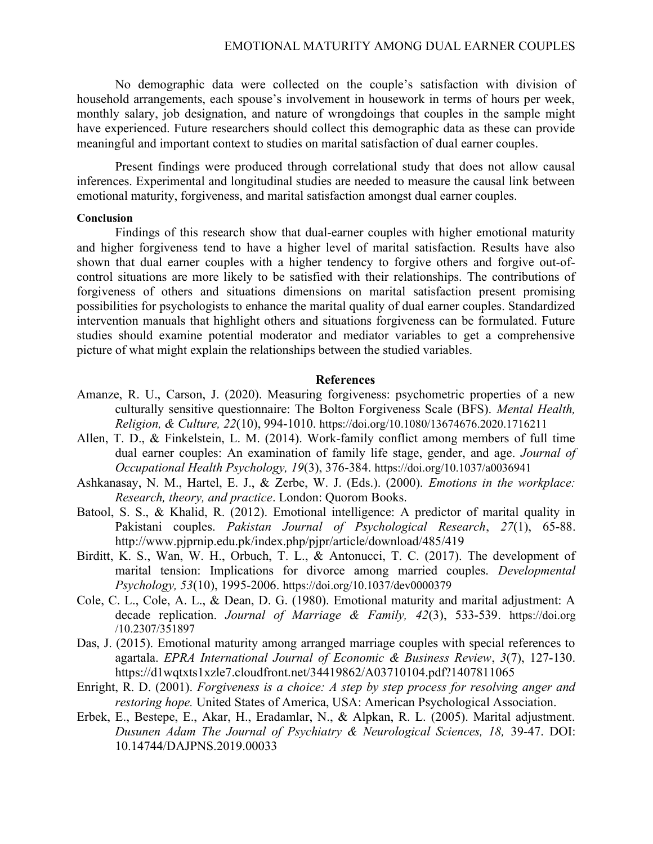No demographic data were collected on the couple's satisfaction with division of household arrangements, each spouse's involvement in housework in terms of hours per week, monthly salary, job designation, and nature of wrongdoings that couples in the sample might have experienced. Future researchers should collect this demographic data as these can provide meaningful and important context to studies on marital satisfaction of dual earner couples.

Present findings were produced through correlational study that does not allow causal inferences. Experimental and longitudinal studies are needed to measure the causal link between emotional maturity, forgiveness, and marital satisfaction amongst dual earner couples.

## Conclusion

Findings of this research show that dual-earner couples with higher emotional maturity and higher forgiveness tend to have a higher level of marital satisfaction. Results have also shown that dual earner couples with a higher tendency to forgive others and forgive out-ofcontrol situations are more likely to be satisfied with their relationships. The contributions of forgiveness of others and situations dimensions on marital satisfaction present promising possibilities for psychologists to enhance the marital quality of dual earner couples. Standardized intervention manuals that highlight others and situations forgiveness can be formulated. Future studies should examine potential moderator and mediator variables to get a comprehensive picture of what might explain the relationships between the studied variables.

#### References

- Amanze, R. U., Carson, J. (2020). Measuring forgiveness: psychometric properties of a new culturally sensitive questionnaire: The Bolton Forgiveness Scale (BFS). Mental Health, Religion, & Culture, 22(10), 994-1010. https://doi.org/10.1080/13674676.2020.1716211
- Allen, T. D., & Finkelstein, L. M. (2014). Work-family conflict among members of full time dual earner couples: An examination of family life stage, gender, and age. Journal of Occupational Health Psychology, 19(3), 376-384. https://doi.org/10.1037/a0036941
- Ashkanasay, N. M., Hartel, E. J., & Zerbe, W. J. (Eds.). (2000). Emotions in the workplace: Research, theory, and practice. London: Quorom Books.
- Batool, S. S., & Khalid, R. (2012). Emotional intelligence: A predictor of marital quality in Pakistani couples. Pakistan Journal of Psychological Research, 27(1), 65-88. http://www.pjprnip.edu.pk/index.php/pjpr/article/download/485/419
- Birditt, K. S., Wan, W. H., Orbuch, T. L., & Antonucci, T. C. (2017). The development of marital tension: Implications for divorce among married couples. Developmental Psychology, 53(10), 1995-2006. https://doi.org/10.1037/dev0000379
- Cole, C. L., Cole, A. L., & Dean, D. G. (1980). Emotional maturity and marital adjustment: A decade replication. Journal of Marriage & Family, 42(3), 533-539. https://doi.org /10.2307/351897
- Das, J. (2015). Emotional maturity among arranged marriage couples with special references to agartala. EPRA International Journal of Economic & Business Review, 3(7), 127-130. https://d1wqtxts1xzle7.cloudfront.net/34419862/A03710104.pdf?1407811065
- Enright, R. D. (2001). Forgiveness is a choice: A step by step process for resolving anger and restoring hope. United States of America, USA: American Psychological Association.
- Erbek, E., Bestepe, E., Akar, H., Eradamlar, N., & Alpkan, R. L. (2005). Marital adjustment. Dusunen Adam The Journal of Psychiatry & Neurological Sciences, 18, 39-47. DOI: 10.14744/DAJPNS.2019.00033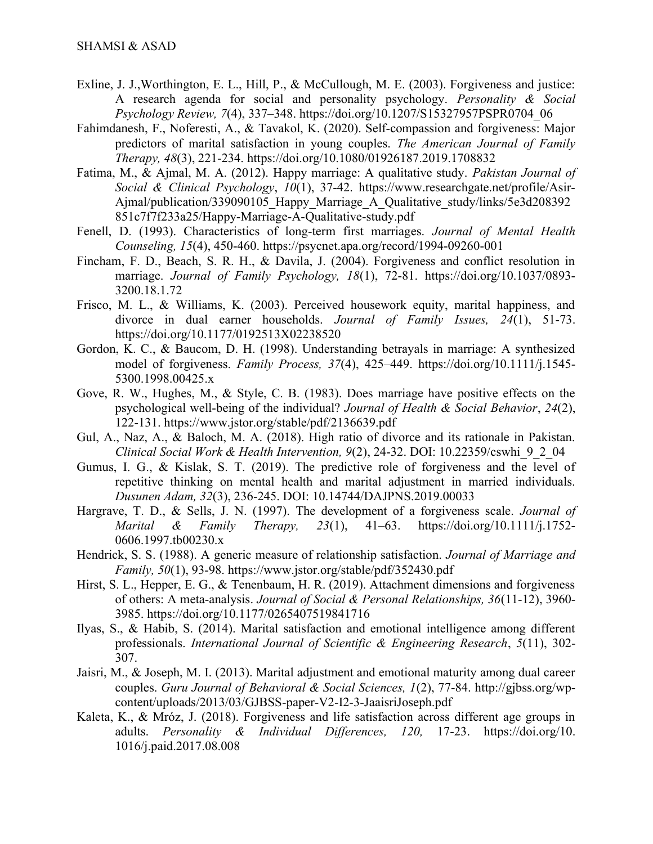- Exline, J. J.,Worthington, E. L., Hill, P., & McCullough, M. E. (2003). Forgiveness and justice: A research agenda for social and personality psychology. Personality & Social Psychology Review, 7(4), 337–348. https://doi.org/10.1207/S15327957PSPR0704\_06
- Fahimdanesh, F., Noferesti, A., & Tavakol, K. (2020). Self-compassion and forgiveness: Major predictors of marital satisfaction in young couples. The American Journal of Family Therapy, 48(3), 221-234. https://doi.org/10.1080/01926187.2019.1708832
- Fatima, M., & Ajmal, M. A. (2012). Happy marriage: A qualitative study. Pakistan Journal of Social & Clinical Psychology, 10(1), 37-42. https://www.researchgate.net/profile/Asir-Ajmal/publication/339090105\_Happy\_Marriage\_A\_Qualitative\_study/links/5e3d208392 851c7f7f233a25/Happy-Marriage-A-Qualitative-study.pdf
- Fenell, D. (1993). Characteristics of long-term first marriages. Journal of Mental Health Counseling, 15(4), 450-460. https://psycnet.apa.org/record/1994-09260-001
- Fincham, F. D., Beach, S. R. H., & Davila, J. (2004). Forgiveness and conflict resolution in marriage. Journal of Family Psychology, 18(1), 72-81. https://doi.org/10.1037/0893-3200.18.1.72
- Frisco, M. L., & Williams, K. (2003). Perceived housework equity, marital happiness, and divorce in dual earner households. Journal of Family Issues, 24(1), 51-73. https://doi.org/10.1177/0192513X02238520
- Gordon, K. C., & Baucom, D. H. (1998). Understanding betrayals in marriage: A synthesized model of forgiveness. Family Process, 37(4), 425–449. https://doi.org/10.1111/j.1545- 5300.1998.00425.x
- Gove, R. W., Hughes, M., & Style, C. B. (1983). Does marriage have positive effects on the psychological well-being of the individual? Journal of Health & Social Behavior, 24(2), 122-131. https://www.jstor.org/stable/pdf/2136639.pdf
- Gul, A., Naz, A., & Baloch, M. A. (2018). High ratio of divorce and its rationale in Pakistan. Clinical Social Work & Health Intervention,  $9(2)$ ,  $24-32$ , DOI: 10.22359/cswhi $92.04$
- Gumus, I. G., & Kislak, S. T. (2019). The predictive role of forgiveness and the level of repetitive thinking on mental health and marital adjustment in married individuals. Dusunen Adam, 32(3), 236-245. DOI: 10.14744/DAJPNS.2019.00033
- Hargrave, T. D., & Sells, J. N. (1997). The development of a forgiveness scale. *Journal of* Marital & Family Therapy,  $23(1)$ ,  $41-63$ . https://doi.org/10.1111/j.1752-0606.1997.tb00230.x
- Hendrick, S. S. (1988). A generic measure of relationship satisfaction. *Journal of Marriage and* Family, 50(1), 93-98. https://www.jstor.org/stable/pdf/352430.pdf
- Hirst, S. L., Hepper, E. G., & Tenenbaum, H. R. (2019). Attachment dimensions and forgiveness of others: A meta-analysis. Journal of Social & Personal Relationships, 36(11-12), 3960- 3985. https://doi.org/10.1177/0265407519841716
- Ilyas, S., & Habib, S. (2014). Marital satisfaction and emotional intelligence among different professionals. International Journal of Scientific & Engineering Research, 5(11), 302- 307.
- Jaisri, M., & Joseph, M. I. (2013). Marital adjustment and emotional maturity among dual career couples. Guru Journal of Behavioral & Social Sciences, 1(2), 77-84. http://gjbss.org/wpcontent/uploads/2013/03/GJBSS-paper-V2-I2-3-JaaisriJoseph.pdf
- Kaleta, K., & Mróz, J. (2018). Forgiveness and life satisfaction across different age groups in adults. Personality & Individual Differences, 120, 17-23. https://doi.org/10. 1016/j.paid.2017.08.008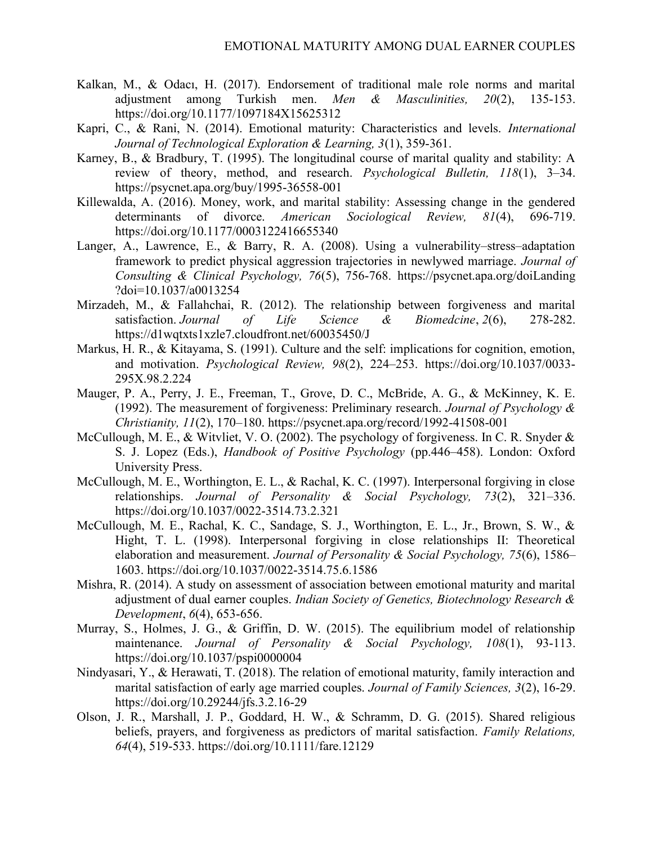- Kalkan, M., & Odacı, H. (2017). Endorsement of traditional male role norms and marital adjustment among Turkish men. Men & Masculinities, 20(2), 135-153. https://doi.org/10.1177/1097184X15625312
- Kapri, C., & Rani, N. (2014). Emotional maturity: Characteristics and levels. International Journal of Technological Exploration & Learning, 3(1), 359-361.
- Karney, B., & Bradbury, T. (1995). The longitudinal course of marital quality and stability: A review of theory, method, and research. Psychological Bulletin, 118(1), 3–34. https://psycnet.apa.org/buy/1995-36558-001
- Killewalda, A. (2016). Money, work, and marital stability: Assessing change in the gendered determinants of divorce. American Sociological Review, 81(4), 696-719. https://doi.org/10.1177/0003122416655340
- Langer, A., Lawrence, E., & Barry, R. A. (2008). Using a vulnerability–stress–adaptation framework to predict physical aggression trajectories in newlywed marriage. Journal of Consulting & Clinical Psychology, 76(5), 756-768. https://psycnet.apa.org/doiLanding ?doi=10.1037/a0013254
- Mirzadeh, M., & Fallahchai, R. (2012). The relationship between forgiveness and marital satisfaction. Journal of Life Science & Biomedcine, 2(6), 278-282. https://d1wqtxts1xzle7.cloudfront.net/60035450/J
- Markus, H. R., & Kitayama, S. (1991). Culture and the self: implications for cognition, emotion, and motivation. Psychological Review, 98(2), 224–253. https://doi.org/10.1037/0033- 295X.98.2.224
- Mauger, P. A., Perry, J. E., Freeman, T., Grove, D. C., McBride, A. G., & McKinney, K. E. (1992). The measurement of forgiveness: Preliminary research. *Journal of Psychology &* Christianity, 11(2), 170–180. https://psycnet.apa.org/record/1992-41508-001
- McCullough, M. E., & Witvliet, V. O. (2002). The psychology of forgiveness. In C. R. Snyder & S. J. Lopez (Eds.), Handbook of Positive Psychology (pp.446–458). London: Oxford University Press.
- McCullough, M. E., Worthington, E. L., & Rachal, K. C. (1997). Interpersonal forgiving in close relationships. *Journal of Personality & Social Psychology*, 73(2), 321–336. https://doi.org/10.1037/0022-3514.73.2.321
- McCullough, M. E., Rachal, K. C., Sandage, S. J., Worthington, E. L., Jr., Brown, S. W., & Hight, T. L. (1998). Interpersonal forgiving in close relationships II: Theoretical elaboration and measurement. Journal of Personality & Social Psychology, 75(6), 1586– 1603. https://doi.org/10.1037/0022-3514.75.6.1586
- Mishra, R. (2014). A study on assessment of association between emotional maturity and marital adjustment of dual earner couples. Indian Society of Genetics, Biotechnology Research  $\&$ Development, 6(4), 653-656.
- Murray, S., Holmes, J. G., & Griffin, D. W. (2015). The equilibrium model of relationship maintenance. Journal of Personality & Social Psychology, 108(1), 93-113. https://doi.org/10.1037/pspi0000004
- Nindyasari, Y., & Herawati, T. (2018). The relation of emotional maturity, family interaction and marital satisfaction of early age married couples. Journal of Family Sciences, 3(2), 16-29. https://doi.org/10.29244/jfs.3.2.16-29
- Olson, J. R., Marshall, J. P., Goddard, H. W., & Schramm, D. G. (2015). Shared religious beliefs, prayers, and forgiveness as predictors of marital satisfaction. Family Relations, 64(4), 519-533. https://doi.org/10.1111/fare.12129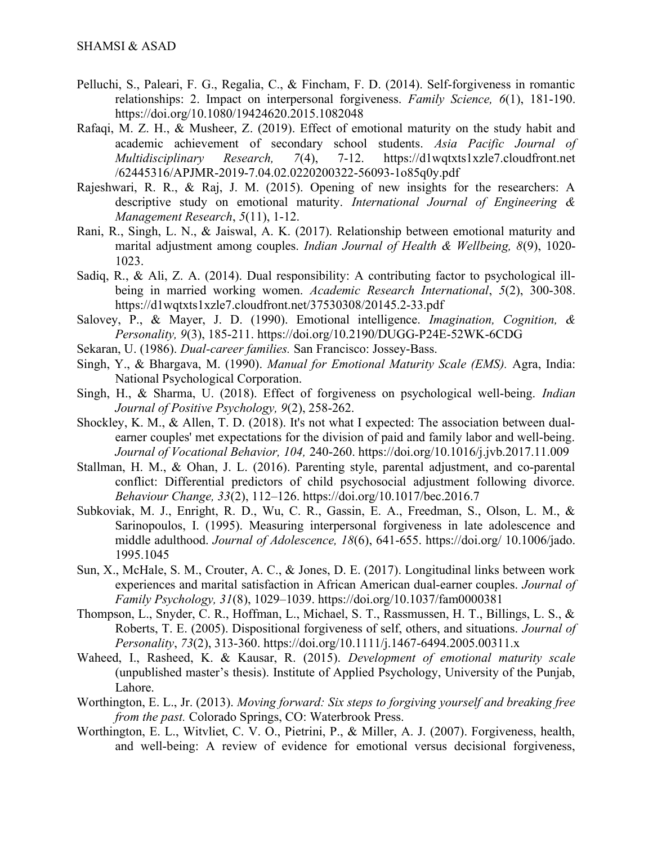- Pelluchi, S., Paleari, F. G., Regalia, C., & Fincham, F. D. (2014). Self-forgiveness in romantic relationships: 2. Impact on interpersonal forgiveness. Family Science, 6(1), 181-190. https://doi.org/10.1080/19424620.2015.1082048
- Rafaqi, M. Z. H., & Musheer, Z. (2019). Effect of emotional maturity on the study habit and academic achievement of secondary school students. Asia Pacific Journal of Multidisciplinary Research, 7(4), 7-12. https://d1wqtxts1xzle7.cloudfront.net /62445316/APJMR-2019-7.04.02.0220200322-56093-1o85q0y.pdf
- Rajeshwari, R. R., & Raj, J. M. (2015). Opening of new insights for the researchers: A descriptive study on emotional maturity. International Journal of Engineering & Management Research, 5(11), 1-12.
- Rani, R., Singh, L. N., & Jaiswal, A. K. (2017). Relationship between emotional maturity and marital adjustment among couples. Indian Journal of Health & Wellbeing, 8(9), 1020- 1023.
- Sadiq, R., & Ali, Z. A. (2014). Dual responsibility: A contributing factor to psychological illbeing in married working women. Academic Research International, 5(2), 300-308. https://d1wqtxts1xzle7.cloudfront.net/37530308/20145.2-33.pdf
- Salovey, P., & Mayer, J. D. (1990). Emotional intelligence. *Imagination*, *Cognition*, & Personality, 9(3), 185-211. https://doi.org/10.2190/DUGG-P24E-52WK-6CDG
- Sekaran, U. (1986). Dual-career families. San Francisco: Jossey-Bass.
- Singh, Y., & Bhargava, M. (1990). Manual for Emotional Maturity Scale (EMS). Agra, India: National Psychological Corporation.
- Singh, H., & Sharma, U. (2018). Effect of forgiveness on psychological well-being. Indian Journal of Positive Psychology, 9(2), 258-262.
- Shockley, K. M., & Allen, T. D. (2018). It's not what I expected: The association between dualearner couples' met expectations for the division of paid and family labor and well-being. Journal of Vocational Behavior, 104, 240-260. https://doi.org/10.1016/j.jvb.2017.11.009
- Stallman, H. M., & Ohan, J. L. (2016). Parenting style, parental adjustment, and co-parental conflict: Differential predictors of child psychosocial adjustment following divorce. Behaviour Change, 33(2), 112–126. https://doi.org/10.1017/bec.2016.7
- Subkoviak, M. J., Enright, R. D., Wu, C. R., Gassin, E. A., Freedman, S., Olson, L. M., & Sarinopoulos, I. (1995). Measuring interpersonal forgiveness in late adolescence and middle adulthood. Journal of Adolescence, 18(6), 641-655. https://doi.org/ 10.1006/jado. 1995.1045
- Sun, X., McHale, S. M., Crouter, A. C., & Jones, D. E. (2017). Longitudinal links between work experiences and marital satisfaction in African American dual-earner couples. Journal of Family Psychology, 31(8), 1029–1039. https://doi.org/10.1037/fam0000381
- Thompson, L., Snyder, C. R., Hoffman, L., Michael, S. T., Rassmussen, H. T., Billings, L. S., & Roberts, T. E. (2005). Dispositional forgiveness of self, others, and situations. Journal of Personality, 73(2), 313-360. https://doi.org/10.1111/j.1467-6494.2005.00311.x
- Waheed, I., Rasheed, K. & Kausar, R. (2015). Development of emotional maturity scale (unpublished master's thesis). Institute of Applied Psychology, University of the Punjab, Lahore.
- Worthington, E. L., Jr. (2013). Moving forward: Six steps to forgiving yourself and breaking free from the past. Colorado Springs, CO: Waterbrook Press.
- Worthington, E. L., Witvliet, C. V. O., Pietrini, P., & Miller, A. J. (2007). Forgiveness, health, and well-being: A review of evidence for emotional versus decisional forgiveness,